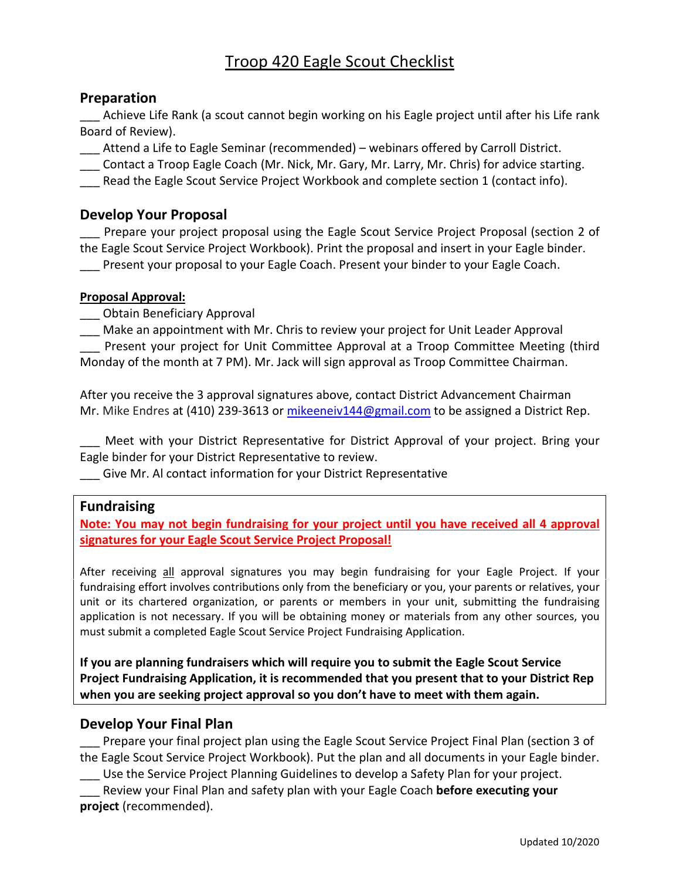# Troop 420 Eagle Scout Checklist

#### **Preparation**

\_\_\_ Achieve Life Rank (a scout cannot begin working on his Eagle project until after his Life rank Board of Review).

\_\_\_ Attend a Life to Eagle Seminar (recommended) – webinars offered by Carroll District.

\_\_\_ Contact a Troop Eagle Coach (Mr. Nick, Mr. Gary, Mr. Larry, Mr. Chris) for advice starting.

Read the Eagle Scout Service Project Workbook and complete section 1 (contact info).

### **Develop Your Proposal**

Prepare your project proposal using the Eagle Scout Service Project Proposal (section 2 of the Eagle Scout Service Project Workbook). Print the proposal and insert in your Eagle binder. **\_\_\_** Present your proposal to your Eagle Coach. Present your binder to your Eagle Coach.

#### **Proposal Approval:**

\_\_\_ Obtain Beneficiary Approval

Make an appointment with Mr. Chris to review your project for Unit Leader Approval Present your project for Unit Committee Approval at a Troop Committee Meeting (third Monday of the month at 7 PM). Mr. Jack will sign approval as Troop Committee Chairman.

After you receive the 3 approval signatures above, contact District Advancement Chairman Mr. Mike Endres at (410) 239-3613 or [mikeeneiv144@gmail.com](mailto:mikeeneiv144@gmail.com) to be assigned a District Rep.

\_\_\_ Meet with your District Representative for District Approval of your project. Bring your Eagle binder for your District Representative to review.

\_\_\_ Give Mr. Al contact information for your District Representative

#### **Fundraising**

**Note: You may not begin fundraising for your project until you have received all 4 approval signatures for your Eagle Scout Service Project Proposal!**

After receiving all approval signatures you may begin fundraising for your Eagle Project. If your fundraising effort involves contributions only from the beneficiary or you, your parents or relatives, your unit or its chartered organization, or parents or members in your unit, submitting the fundraising application is not necessary. If you will be obtaining money or materials from any other sources, you must submit a completed Eagle Scout Service Project Fundraising Application.

**If you are planning fundraisers which will require you to submit the Eagle Scout Service Project Fundraising Application, it is recommended that you present that to your District Rep when you are seeking project approval so you don't have to meet with them again.**

#### **Develop Your Final Plan**

Prepare your final project plan using the Eagle Scout Service Project Final Plan (section 3 of the Eagle Scout Service Project Workbook). Put the plan and all documents in your Eagle binder.

\_\_\_ Use the Service Project Planning Guidelines to develop a Safety Plan for your project.

\_\_\_ Review your Final Plan and safety plan with your Eagle Coach **before executing your project** (recommended).